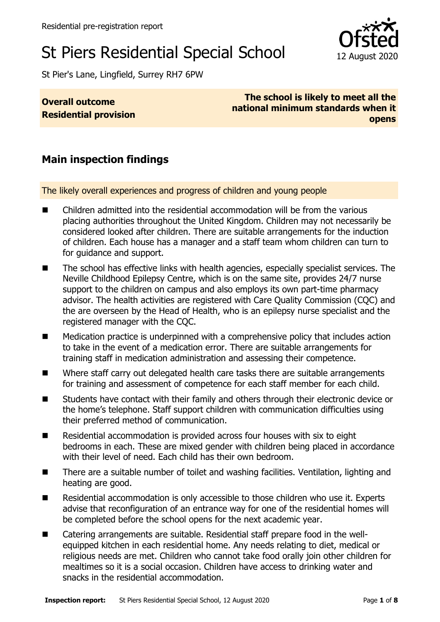# St Piers Residential Special School 12 August 2020

St Pier's Lane, Lingfield, Surrey RH7 6PW

#### **Overall outcome Residential provision**

**The school is likely to meet all the national minimum standards when it opens**

# **Main inspection findings**

The likely overall experiences and progress of children and young people

- Children admitted into the residential accommodation will be from the various placing authorities throughout the United Kingdom. Children may not necessarily be considered looked after children. There are suitable arrangements for the induction of children. Each house has a manager and a staff team whom children can turn to for guidance and support.
- The school has effective links with health agencies, especially specialist services. The Neville Childhood Epilepsy Centre, which is on the same site, provides 24/7 nurse support to the children on campus and also employs its own part-time pharmacy advisor. The health activities are registered with Care Quality Commission (CQC) and the are overseen by the Head of Health, who is an epilepsy nurse specialist and the registered manager with the CQC.
- Medication practice is underpinned with a comprehensive policy that includes action to take in the event of a medication error. There are suitable arrangements for training staff in medication administration and assessing their competence.
- Where staff carry out delegated health care tasks there are suitable arrangements for training and assessment of competence for each staff member for each child.
- Students have contact with their family and others through their electronic device or the home's telephone. Staff support children with communication difficulties using their preferred method of communication.
- Residential accommodation is provided across four houses with six to eight bedrooms in each. These are mixed gender with children being placed in accordance with their level of need. Each child has their own bedroom.
- There are a suitable number of toilet and washing facilities. Ventilation, lighting and heating are good.
- Residential accommodation is only accessible to those children who use it. Experts advise that reconfiguration of an entrance way for one of the residential homes will be completed before the school opens for the next academic year.
- Catering arrangements are suitable. Residential staff prepare food in the wellequipped kitchen in each residential home. Any needs relating to diet, medical or religious needs are met. Children who cannot take food orally join other children for mealtimes so it is a social occasion. Children have access to drinking water and snacks in the residential accommodation.

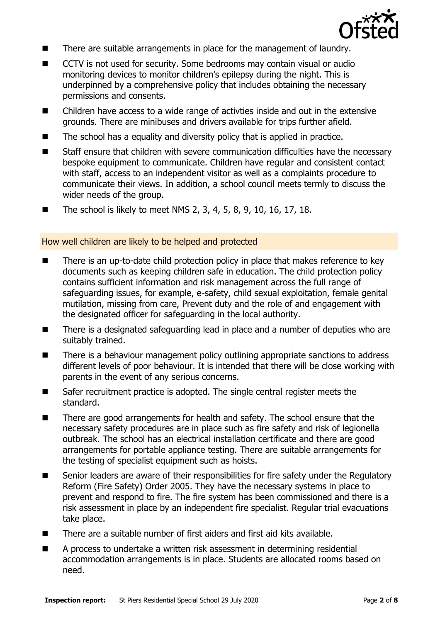

- There are suitable arrangements in place for the management of laundry.
- CCTV is not used for security. Some bedrooms may contain visual or audio monitoring devices to monitor children's epilepsy during the night. This is underpinned by a comprehensive policy that includes obtaining the necessary permissions and consents.
- Children have access to a wide range of activties inside and out in the extensive grounds. There are minibuses and drivers available for trips further afield.
- The school has a equality and diversity policy that is applied in practice.
- Staff ensure that children with severe communication difficulties have the necessary bespoke equipment to communicate. Children have regular and consistent contact with staff, access to an independent visitor as well as a complaints procedure to communicate their views. In addition, a school council meets termly to discuss the wider needs of the group.
- The school is likely to meet NMS 2, 3, 4, 5, 8, 9, 10, 16, 17, 18.

How well children are likely to be helped and protected

- There is an up-to-date child protection policy in place that makes reference to key documents such as keeping children safe in education. The child protection policy contains sufficient information and risk management across the full range of safeguarding issues, for example, e-safety, child sexual exploitation, female genital mutilation, missing from care, Prevent duty and the role of and engagement with the designated officer for safeguarding in the local authority.
- There is a designated safeguarding lead in place and a number of deputies who are suitably trained.
- There is a behaviour management policy outlining appropriate sanctions to address different levels of poor behaviour. It is intended that there will be close working with parents in the event of any serious concerns.
- Safer recruitment practice is adopted. The single central register meets the standard.
- There are good arrangements for health and safety. The school ensure that the necessary safety procedures are in place such as fire safety and risk of legionella outbreak. The school has an electrical installation certificate and there are good arrangements for portable appliance testing. There are suitable arrangements for the testing of specialist equipment such as hoists.
- Senior leaders are aware of their responsibilities for fire safety under the Regulatory Reform (Fire Safety) Order 2005. They have the necessary systems in place to prevent and respond to fire. The fire system has been commissioned and there is a risk assessment in place by an independent fire specialist. Regular trial evacuations take place.
- There are a suitable number of first aiders and first aid kits available.
- A process to undertake a written risk assessment in determining residential accommodation arrangements is in place. Students are allocated rooms based on need.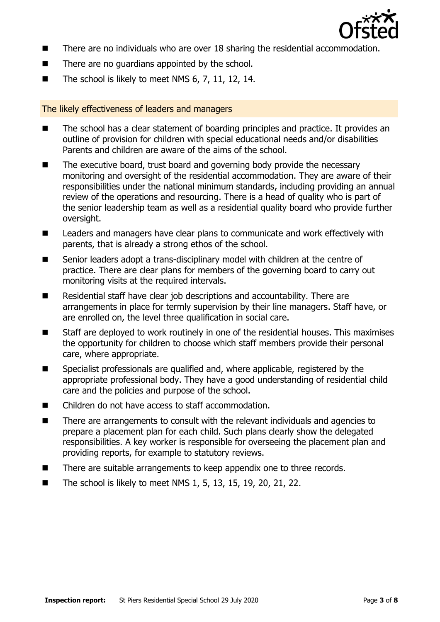

- There are no individuals who are over 18 sharing the residential accommodation.
- There are no quardians appointed by the school.
- The school is likely to meet NMS 6, 7, 11, 12, 14.

#### The likely effectiveness of leaders and managers

- The school has a clear statement of boarding principles and practice. It provides an outline of provision for children with special educational needs and/or disabilities Parents and children are aware of the aims of the school.
- The executive board, trust board and governing body provide the necessary monitoring and oversight of the residential accommodation. They are aware of their responsibilities under the national minimum standards, including providing an annual review of the operations and resourcing. There is a head of quality who is part of the senior leadership team as well as a residential quality board who provide further oversight.
- Leaders and managers have clear plans to communicate and work effectively with parents, that is already a strong ethos of the school.
- Senior leaders adopt a trans-disciplinary model with children at the centre of practice. There are clear plans for members of the governing board to carry out monitoring visits at the required intervals.
- Residential staff have clear job descriptions and accountability. There are arrangements in place for termly supervision by their line managers. Staff have, or are enrolled on, the level three qualification in social care.
- Staff are deployed to work routinely in one of the residential houses. This maximises the opportunity for children to choose which staff members provide their personal care, where appropriate.
- Specialist professionals are qualified and, where applicable, registered by the appropriate professional body. They have a good understanding of residential child care and the policies and purpose of the school.
- Children do not have access to staff accommodation.
- There are arrangements to consult with the relevant individuals and agencies to prepare a placement plan for each child. Such plans clearly show the delegated responsibilities. A key worker is responsible for overseeing the placement plan and providing reports, for example to statutory reviews.
- There are suitable arrangements to keep appendix one to three records.
- The school is likely to meet NMS 1, 5, 13, 15, 19, 20, 21, 22.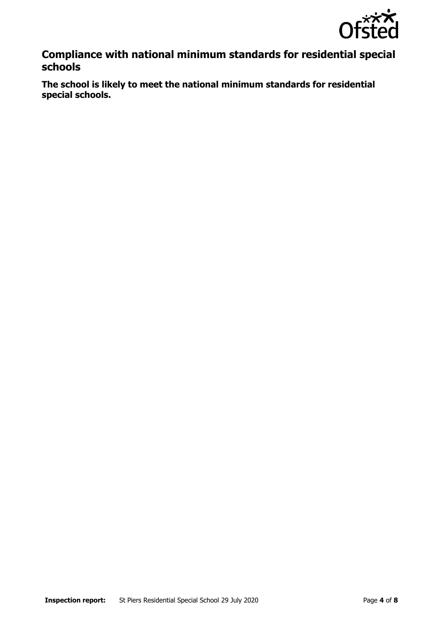

# **Compliance with national minimum standards for residential special schools**

**The school is likely to meet the national minimum standards for residential special schools.**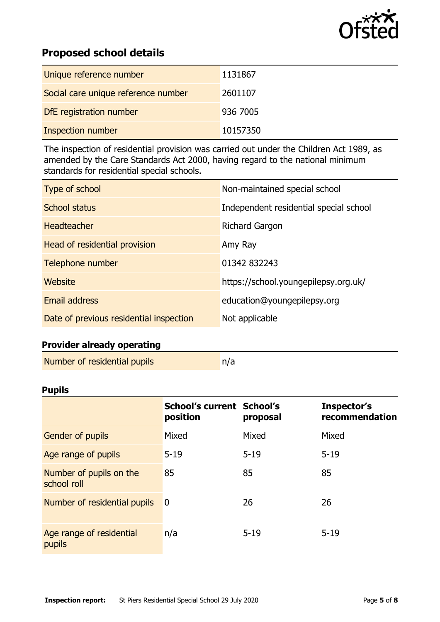

# **Proposed school details**

| Unique reference number             | 1131867  |
|-------------------------------------|----------|
| Social care unique reference number | 2601107  |
| DfE registration number             | 936 7005 |
| <b>Inspection number</b>            | 10157350 |

The inspection of residential provision was carried out under the Children Act 1989, as amended by the Care Standards Act 2000, having regard to the national minimum standards for residential special schools.

| Type of school                          | Non-maintained special school          |
|-----------------------------------------|----------------------------------------|
| School status                           | Independent residential special school |
| Headteacher                             | <b>Richard Gargon</b>                  |
| Head of residential provision           | Amy Ray                                |
| Telephone number                        | 01342 832243                           |
| Website                                 | https://school.youngepilepsy.org.uk/   |
| <b>Email address</b>                    | education@youngepilepsy.org            |
| Date of previous residential inspection | Not applicable                         |

### **Provider already operating**

| Number of residential pupils | n/a |
|------------------------------|-----|
|                              |     |

#### **Pupils**

|                                        | <b>School's current School's</b><br>position | proposal | Inspector's<br>recommendation |
|----------------------------------------|----------------------------------------------|----------|-------------------------------|
| <b>Gender of pupils</b>                | Mixed                                        | Mixed    | Mixed                         |
| Age range of pupils                    | $5 - 19$                                     | $5 - 19$ | $5 - 19$                      |
| Number of pupils on the<br>school roll | 85                                           | 85       | 85                            |
| Number of residential pupils           | $\overline{0}$                               | 26       | 26                            |
| Age range of residential<br>pupils     | n/a                                          | $5 - 19$ | $5 - 19$                      |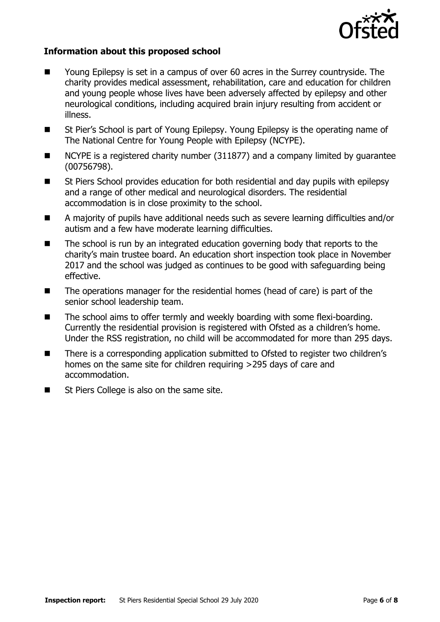

#### **Information about this proposed school**

- Young Epilepsy is set in a campus of over 60 acres in the Surrey countryside. The charity provides medical assessment, rehabilitation, care and education for children and young people whose lives have been adversely affected by epilepsy and other neurological conditions, including acquired brain injury resulting from accident or illness.
- St Pier's School is part of Young Epilepsy. Young Epilepsy is the operating name of The National Centre for Young People with Epilepsy (NCYPE).
- NCYPE is a registered charity number (311877) and a company limited by guarantee (00756798).
- St Piers School provides education for both residential and day pupils with epilepsy and a range of other medical and neurological disorders. The residential accommodation is in close proximity to the school.
- A majority of pupils have additional needs such as severe learning difficulties and/or autism and a few have moderate learning difficulties.
- The school is run by an integrated education governing body that reports to the charity's main trustee board. An education short inspection took place in November 2017 and the school was judged as continues to be good with safeguarding being effective.
- The operations manager for the residential homes (head of care) is part of the senior school leadership team.
- The school aims to offer termly and weekly boarding with some flexi-boarding. Currently the residential provision is registered with Ofsted as a children's home. Under the RSS registration, no child will be accommodated for more than 295 days.
- There is a corresponding application submitted to Ofsted to register two children's homes on the same site for children requiring >295 days of care and accommodation.
- St Piers College is also on the same site.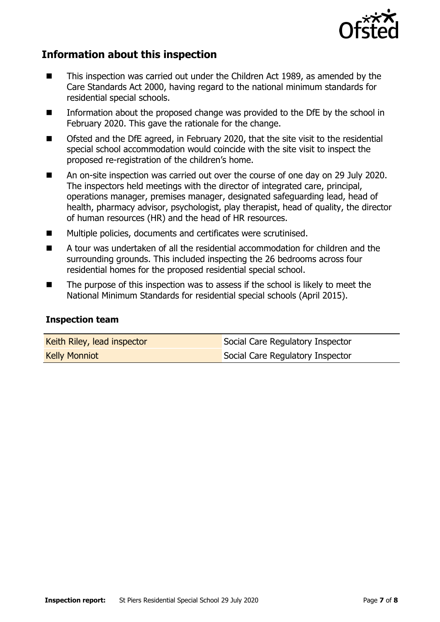

# **Information about this inspection**

- This inspection was carried out under the Children Act 1989, as amended by the Care Standards Act 2000, having regard to the national minimum standards for residential special schools.
- Information about the proposed change was provided to the DfE by the school in February 2020. This gave the rationale for the change.
- Ofsted and the DfE agreed, in February 2020, that the site visit to the residential special school accommodation would coincide with the site visit to inspect the proposed re-registration of the children's home.
- An on-site inspection was carried out over the course of one day on 29 July 2020. The inspectors held meetings with the director of integrated care, principal, operations manager, premises manager, designated safeguarding lead, head of health, pharmacy advisor, psychologist, play therapist, head of quality, the director of human resources (HR) and the head of HR resources.
- Multiple policies, documents and certificates were scrutinised.
- A tour was undertaken of all the residential accommodation for children and the surrounding grounds. This included inspecting the 26 bedrooms across four residential homes for the proposed residential special school.
- The purpose of this inspection was to assess if the school is likely to meet the National Minimum Standards for residential special schools (April 2015).

#### **Inspection team**

| Keith Riley, lead inspector | Social Care Regulatory Inspector |
|-----------------------------|----------------------------------|
| <b>Kelly Monniot</b>        | Social Care Regulatory Inspector |